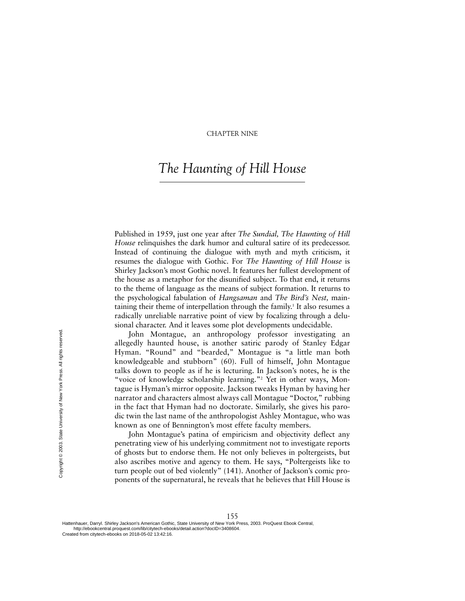## CHAPTER NINE

# *The Haunting of Hill House*

Published in 1959, just one year after *The Sundial, The Haunting of Hill House* relinquishes the dark humor and cultural satire of its predecessor. Instead of continuing the dialogue with myth and myth criticism, it resumes the dialogue with Gothic. For *The Haunting of Hill House* is Shirley Jackson's most Gothic novel. It features her fullest development of the house as a metaphor for the disunified subject. To that end, it returns to the theme of language as the means of subject formation. It returns to the psychological fabulation of *Hangsaman* and *The Bird's Nest,* maintaining their theme of interpellation through the family.<sup>1</sup> It also resumes a radically unreliable narrative point of view by focalizing through a delusional character. And it leaves some plot developments undecidable.

John Montague, an anthropology professor investigating an allegedly haunted house, is another satiric parody of Stanley Edgar Hyman. "Round" and "bearded," Montague is "a little man both knowledgeable and stubborn" (60). Full of himself, John Montague talks down to people as if he is lecturing. In Jackson's notes, he is the "voice of knowledge scholarship learning."2 Yet in other ways, Montague is Hyman's mirror opposite. Jackson tweaks Hyman by having her narrator and characters almost always call Montague "Doctor," rubbing in the fact that Hyman had no doctorate. Similarly, she gives his parodic twin the last name of the anthropologist Ashley Montague, who was known as one of Bennington's most effete faculty members. Created from citytech-ebooks on 2018-05-02 13:42:16. Created from citytech-ebooks on 2018-05-02 13:42:16. Created from citytech-ebooks on 2018-05-02 13:42:16. Created from citytech-ebooks on 2018-05-02 13:42:16.

John Montague's patina of empiricism and objectivity deflect any penetrating view of his underlying commitment not to investigate reports of ghosts but to endorse them. He not only believes in poltergeists, but also ascribes motive and agency to them. He says, "Poltergeists like to turn people out of bed violently" (141). Another of Jackson's comic proponents of the supernatural, he reveals that he believes that Hill House is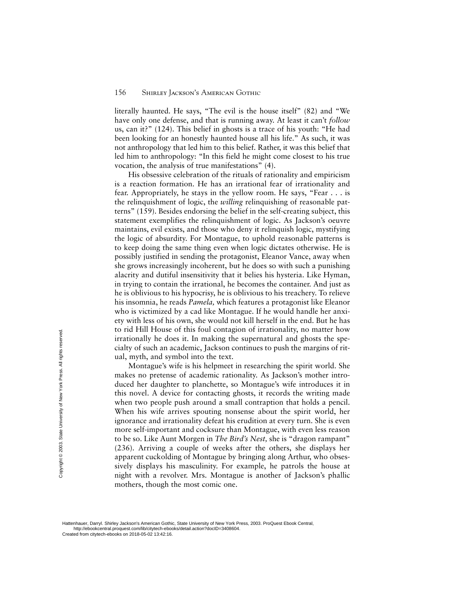literally haunted. He says, "The evil is the house itself" (82) and "We have only one defense, and that is running away. At least it can't *follow* us, can it?" (124). This belief in ghosts is a trace of his youth: "He had been looking for an honestly haunted house all his life." As such, it was not anthropology that led him to this belief. Rather, it was this belief that led him to anthropology: "In this field he might come closest to his true vocation, the analysis of true manifestations" (4).

His obsessive celebration of the rituals of rationality and empiricism is a reaction formation. He has an irrational fear of irrationality and fear. Appropriately, he stays in the yellow room. He says, "Fear . . . is the relinquishment of logic, the *willing* relinquishing of reasonable patterns" (159). Besides endorsing the belief in the self-creating subject, this statement exemplifies the relinquishment of logic. As Jackson's oeuvre maintains, evil exists, and those who deny it relinquish logic, mystifying the logic of absurdity. For Montague, to uphold reasonable patterns is to keep doing the same thing even when logic dictates otherwise. He is possibly justified in sending the protagonist, Eleanor Vance, away when she grows increasingly incoherent, but he does so with such a punishing alacrity and dutiful insensitivity that it belies his hysteria. Like Hyman, in trying to contain the irrational, he becomes the container. And just as he is oblivious to his hypocrisy, he is oblivious to his treachery. To relieve his insomnia, he reads *Pamela,* which features a protagonist like Eleanor who is victimized by a cad like Montague. If he would handle her anxiety with less of his own, she would not kill herself in the end. But he has to rid Hill House of this foul contagion of irrationality, no matter how irrationally he does it. In making the supernatural and ghosts the specialty of such an academic, Jackson continues to push the margins of ritual, myth, and symbol into the text.

Montague's wife is his helpmeet in researching the spirit world. She makes no pretense of academic rationality. As Jackson's mother introduced her daughter to planchette, so Montague's wife introduces it in this novel. A device for contacting ghosts, it records the writing made when two people push around a small contraption that holds a pencil. When his wife arrives spouting nonsense about the spirit world, her ignorance and irrationality defeat his erudition at every turn. She is even more self-important and cocksure than Montague, with even less reason to be so. Like Aunt Morgen in *The Bird's Nest,* she is "dragon rampant" (236). Arriving a couple of weeks after the others, she displays her apparent cuckolding of Montague by bringing along Arthur, who obsessively displays his masculinity. For example, he patrols the house at night with a revolver. Mrs. Montague is another of Jackson's phallic mothers, though the most comic one. Experimentationally he do<br>
cialty of such an a<br>
ual, myth, and syn<br>
Montague's when two people<br>
when two people<br>
When his wife a<br>
ignorance and irra<br>
gas is<br>
gas in this movel. A devi<br>
when two people<br>
When his wife a<br>
ign

Hattenhauer, Darryl. Shirley Jackson's American Gothic, State University of New York Press, 2003. ProQuest Ebook Central, http://ebookcentral.proquest.com/lib/citytech-ebooks/detail.action?docID=3408604.<br>Created from citytech-ebooks on 2018-05-02 13:42:16.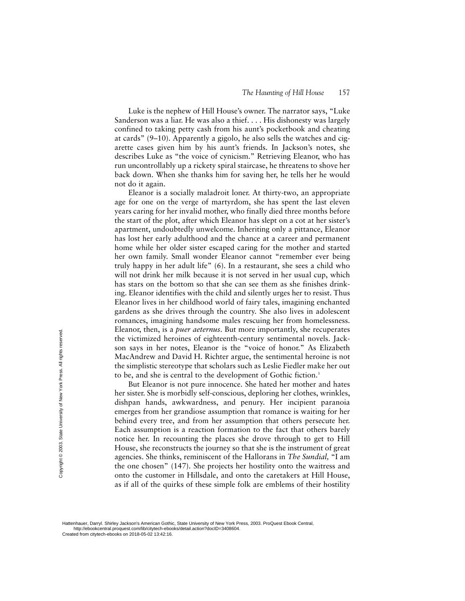Luke is the nephew of Hill House's owner. The narrator says, "Luke Sanderson was a liar. He was also a thief. . . . His dishonesty was largely confined to taking petty cash from his aunt's pocketbook and cheating at cards" (9–10). Apparently a gigolo, he also sells the watches and cigarette cases given him by his aunt's friends. In Jackson's notes, she describes Luke as "the voice of cynicism." Retrieving Eleanor, who has run uncontrollably up a rickety spiral staircase, he threatens to shove her back down. When she thanks him for saving her, he tells her he would not do it again.

Eleanor is a socially maladroit loner. At thirty-two, an appropriate age for one on the verge of martyrdom, she has spent the last eleven years caring for her invalid mother, who finally died three months before the start of the plot, after which Eleanor has slept on a cot at her sister's apartment, undoubtedly unwelcome. Inheriting only a pittance, Eleanor has lost her early adulthood and the chance at a career and permanent home while her older sister escaped caring for the mother and started her own family. Small wonder Eleanor cannot "remember ever being truly happy in her adult life" (6). In a restaurant, she sees a child who will not drink her milk because it is not served in her usual cup, which has stars on the bottom so that she can see them as she finishes drinking. Eleanor identifies with the child and silently urges her to resist. Thus Eleanor lives in her childhood world of fairy tales, imagining enchanted gardens as she drives through the country. She also lives in adolescent romances, imagining handsome males rescuing her from homelessness. Eleanor, then, is a *puer aeternus*. But more importantly, she recuperates the victimized heroines of eighteenth-century sentimental novels. Jackson says in her notes, Eleanor is the "voice of honor." As Elizabeth MacAndrew and David H. Richter argue, the sentimental heroine is not the simplistic stereotype that scholars such as Leslie Fiedler make her out to be, and she is central to the development of Gothic fiction.<sup>3</sup>

But Eleanor is not pure innocence. She hated her mother and hates her sister. She is morbidly self-conscious, deploring her clothes, wrinkles, dishpan hands, awkwardness, and penury. Her incipient paranoia emerges from her grandiose assumption that romance is waiting for her behind every tree, and from her assumption that others persecute her. Each assumption is a reaction formation to the fact that others barely notice her. In recounting the places she drove through to get to Hill House, she reconstructs the journey so that she is the instrument of great agencies. She thinks, reminiscent of the Hallorans in *The Sundial,* "I am the one chosen" (147). She projects her hostility onto the waitress and onto the customer in Hillsdale, and onto the caretakers at Hill House, as if all of the quirks of these simple folk are emblems of their hostility Exerces on a species of the simplistic stere<br>
see the simplistic stere<br>
to be, and she is comes in the simplistic stere<br>
to be, and she is comes in the simplistic stere<br>
to be, and she is comes in the Summer of New York Pr

Hattenhauer, Darryl. Shirley Jackson's American Gothic, State University of New York Press, 2003. ProQuest Ebook Central, http://ebookcentral.proquest.com/lib/citytech-ebooks/detail.action?docID=3408604.<br>Created from citytech-ebooks on 2018-05-02 13:42:16.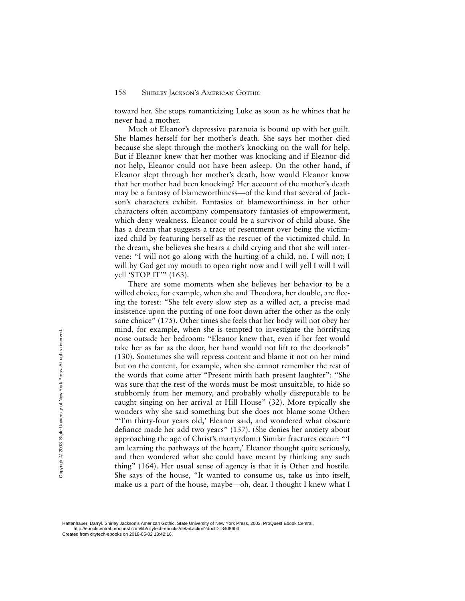toward her. She stops romanticizing Luke as soon as he whines that he never had a mother.

Much of Eleanor's depressive paranoia is bound up with her guilt. She blames herself for her mother's death. She says her mother died because she slept through the mother's knocking on the wall for help. But if Eleanor knew that her mother was knocking and if Eleanor did not help, Eleanor could not have been asleep. On the other hand, if Eleanor slept through her mother's death, how would Eleanor know that her mother had been knocking? Her account of the mother's death may be a fantasy of blameworthiness—of the kind that several of Jackson's characters exhibit. Fantasies of blameworthiness in her other characters often accompany compensatory fantasies of empowerment, which deny weakness. Eleanor could be a survivor of child abuse. She has a dream that suggests a trace of resentment over being the victimized child by featuring herself as the rescuer of the victimized child. In the dream, she believes she hears a child crying and that she will intervene: "I will not go along with the hurting of a child, no, I will not; I will by God get my mouth to open right now and I will yell I will I will yell 'STOP IT'" (163).

There are some moments when she believes her behavior to be a willed choice, for example, when she and Theodora, her double, are fleeing the forest: "She felt every slow step as a willed act, a precise mad insistence upon the putting of one foot down after the other as the only sane choice" (175). Other times she feels that her body will not obey her mind, for example, when she is tempted to investigate the horrifying noise outside her bedroom: "Eleanor knew that, even if her feet would take her as far as the door, her hand would not lift to the doorknob" (130). Sometimes she will repress content and blame it not on her mind but on the content, for example, when she cannot remember the rest of the words that come after "Present mirth hath present laughter": "She was sure that the rest of the words must be most unsuitable, to hide so stubbornly from her memory, and probably wholly disreputable to be caught singing on her arrival at Hill House" (32). More typically she wonders why she said something but she does not blame some Other: "'I'm thirty-four years old,' Eleanor said, and wondered what obscure defiance made her add two years" (137). (She denies her anxiety about approaching the age of Christ's martyrdom.) Similar fractures occur: "'I am learning the pathways of the heart,' Eleanor thought quite seriously, and then wondered what she could have meant by thinking any such thing" (164). Her usual sense of agency is that it is Other and hostile. She says of the house, "It wanted to consume us, take us into itself, make us a part of the house, maybe—oh, dear. I thought I knew what I Example on the content<br>
Example on the content the take her as far as<br>
(130). Sometimes<br>
but on the content<br>
the words that co<br>
was sure that the<br>
stubbornly from l<br>
caught singing on<br>
wonders why she<br>
"I'm thirty-four def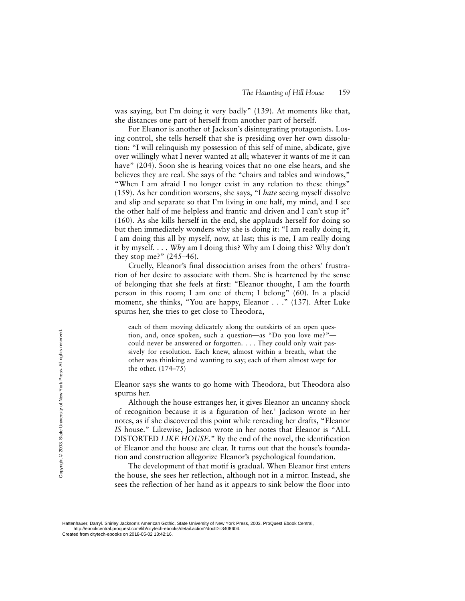was saying, but I'm doing it very badly" (139). At moments like that, she distances one part of herself from another part of herself.

For Eleanor is another of Jackson's disintegrating protagonists. Losing control, she tells herself that she is presiding over her own dissolution: "I will relinquish my possession of this self of mine, abdicate, give over willingly what I never wanted at all; whatever it wants of me it can have" (204). Soon she is hearing voices that no one else hears, and she believes they are real. She says of the "chairs and tables and windows," "When I am afraid I no longer exist in any relation to these things" (159). As her condition worsens, she says, "I *hate* seeing myself dissolve and slip and separate so that I'm living in one half, my mind, and I see the other half of me helpless and frantic and driven and I can't stop it" (160). As she kills herself in the end, she applauds herself for doing so but then immediately wonders why she is doing it: "I am really doing it, I am doing this all by myself, now, at last; this is me, I am really doing it by myself. . . . *Why* am I doing this? Why am I doing this? Why don't they stop me?" (245–46).

Cruelly, Eleanor's final dissociation arises from the others' frustration of her desire to associate with them. She is heartened by the sense of belonging that she feels at first: "Eleanor thought, I am the fourth person in this room; I am one of them; I belong" (60). In a placid moment, she thinks, "You are happy, Eleanor . . ." (137). After Luke spurns her, she tries to get close to Theodora,

each of them moving delicately along the outskirts of an open question, and, once spoken, such a question—as "Do you love me?" could never be answered or forgotten. . . . They could only wait passively for resolution. Each knew, almost within a breath, what the other was thinking and wanting to say; each of them almost wept for the other. (174–75)

Eleanor says she wants to go home with Theodora, but Theodora also spurns her.

Although the house estranges her, it gives Eleanor an uncanny shock of recognition because it is a figuration of her.4 Jackson wrote in her notes, as if she discovered this point while rereading her drafts, "Eleanor *IS* house." Likewise, Jackson wrote in her notes that Eleanor is "ALL DISTORTED *LIKE HOUSE*." By the end of the novel, the identification of Eleanor and the house are clear. It turns out that the house's foundation and construction allegorize Eleanor's psychological foundation. The second from citytech-ebooks on 2018-05-02 13:42:16.<br>
Created from citytech-ebooks on 2018-05-02 13:42:16.<br>
Created from citytech-ebooks on 2018-05-02 13:42:16.<br>
Created from citytech-ebooks on 2018-05-02 13:42:16.<br>
Cre

The development of that motif is gradual. When Eleanor first enters the house, she sees her reflection, although not in a mirror. Instead, she sees the reflection of her hand as it appears to sink below the floor into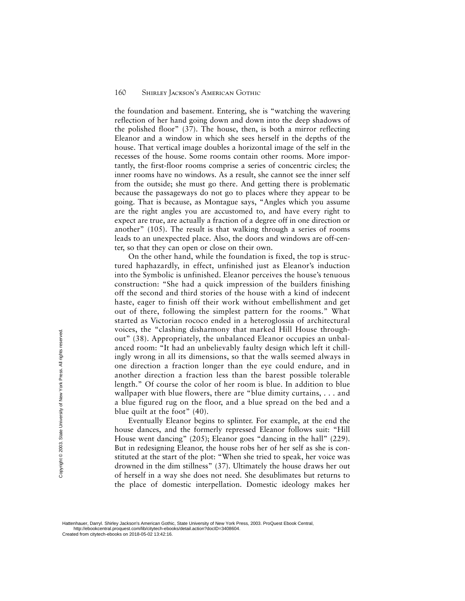the foundation and basement. Entering, she is "watching the wavering reflection of her hand going down and down into the deep shadows of the polished floor" (37). The house, then, is both a mirror reflecting Eleanor and a window in which she sees herself in the depths of the house. That vertical image doubles a horizontal image of the self in the recesses of the house. Some rooms contain other rooms. More importantly, the first-floor rooms comprise a series of concentric circles; the inner rooms have no windows. As a result, she cannot see the inner self from the outside; she must go there. And getting there is problematic because the passageways do not go to places where they appear to be going. That is because, as Montague says, "Angles which you assume are the right angles you are accustomed to, and have every right to expect are true, are actually a fraction of a degree off in one direction or another" (105). The result is that walking through a series of rooms leads to an unexpected place. Also, the doors and windows are off-center, so that they can open or close on their own.

On the other hand, while the foundation is fixed, the top is structured haphazardly, in effect, unfinished just as Eleanor's induction into the Symbolic is unfinished. Eleanor perceives the house's tenuous construction: "She had a quick impression of the builders finishing off the second and third stories of the house with a kind of indecent haste, eager to finish off their work without embellishment and get out of there, following the simplest pattern for the rooms." What started as Victorian rococo ended in a heteroglossia of architectural voices, the "clashing disharmony that marked Hill House throughout" (38). Appropriately, the unbalanced Eleanor occupies an unbalanced room: "It had an unbelievably faulty design which left it chillingly wrong in all its dimensions, so that the walls seemed always in one direction a fraction longer than the eye could endure, and in another direction a fraction less than the barest possible tolerable length." Of course the color of her room is blue. In addition to blue wallpaper with blue flowers, there are "blue dimity curtains, . . . and a blue figured rug on the floor, and a blue spread on the bed and a blue quilt at the foot" (40). CREAT CREAT CREAT CREAT CREAT CREAT CREAT CREAT CREAT CREAT CREAT CREAT CREAT CREAT CREAT CREAT CREAT CREAT CREAT CREAT CREAT CREAT CREAT CREAT CREAT CREAT CREAT CREAT CREAT CREAT CREAT CREAT CREAT CREAT CREAT CREAT CREAT

Eventually Eleanor begins to splinter. For example, at the end the house dances, and the formerly repressed Eleanor follows suit: "Hill House went dancing" (205); Eleanor goes "dancing in the hall" (229). But in redesigning Eleanor, the house robs her of her self as she is constituted at the start of the plot: "When she tried to speak, her voice was drowned in the dim stillness" (37). Ultimately the house draws her out of herself in a way she does not need. She desublimates but returns to the place of domestic interpellation. Domestic ideology makes her

Hattenhauer, Darryl. Shirley Jackson's American Gothic, State University of New York Press, 2003. ProQuest Ebook Central,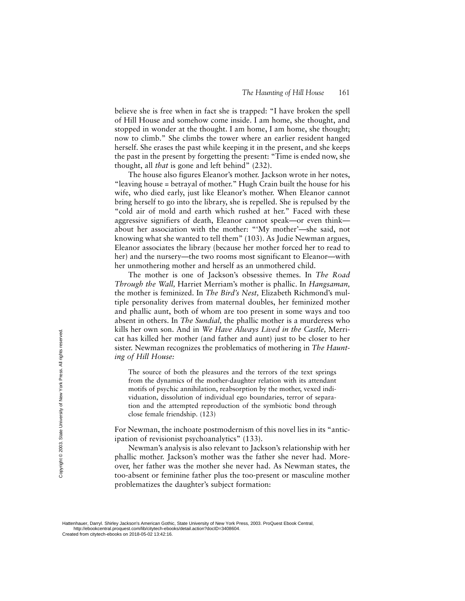believe she is free when in fact she is trapped: "I have broken the spell of Hill House and somehow come inside. I am home, she thought, and stopped in wonder at the thought. I am home, I am home, she thought; now to climb." She climbs the tower where an earlier resident hanged herself. She erases the past while keeping it in the present, and she keeps the past in the present by forgetting the present: "Time is ended now, she thought, all *that* is gone and left behind" (232).

The house also figures Eleanor's mother. Jackson wrote in her notes, "leaving house = betrayal of mother." Hugh Crain built the house for his wife, who died early, just like Eleanor's mother. When Eleanor cannot bring herself to go into the library, she is repelled. She is repulsed by the "cold air of mold and earth which rushed at her." Faced with these aggressive signifiers of death, Eleanor cannot speak—or even think about her association with the mother: "'My mother'—she said, not knowing what she wanted to tell them" (103). As Judie Newman argues, Eleanor associates the library (because her mother forced her to read to her) and the nursery—the two rooms most significant to Eleanor—with her unmothering mother and herself as an unmothered child.

The mother is one of Jackson's obsessive themes. In *The Road Through the Wall,* Harriet Merriam's mother is phallic. In *Hangsaman,* the mother is feminized. In *The Bird's Nest,* Elizabeth Richmond's multiple personality derives from maternal doubles, her feminized mother and phallic aunt, both of whom are too present in some ways and too absent in others. In *The Sundial,* the phallic mother is a murderess who kills her own son. And in *We Have Always Lived in the Castle,* Merricat has killed her mother (and father and aunt) just to be closer to her sister. Newman recognizes the problematics of mothering in *The Haunting of Hill House:* 

The source of both the pleasures and the terrors of the text springs from the dynamics of the mother-daughter relation with its attendant motifs of psychic annihilation, reabsorption by the mother, vexed individuation, dissolution of individual ego boundaries, terror of separation and the attempted reproduction of the symbiotic bond through close female friendship. (123)

For Newman, the inchoate postmodernism of this novel lies in its "anticipation of revisionist psychoanalytics" (133).

Newman's analysis is also relevant to Jackson's relationship with her phallic mother. Jackson's mother was the father she never had. Moreover, her father was the mother she never had. As Newman states, the too-absent or feminine father plus the too-present or masculine mother problematizes the daughter's subject formation: Exercise the sistem. New York Press.<br>
State of the sistem of the sistem of the sistem of the sistem of the dynamic motifs of psychology.<br>
The source of from the dynamics of psychology in the dynamics of psychology in the a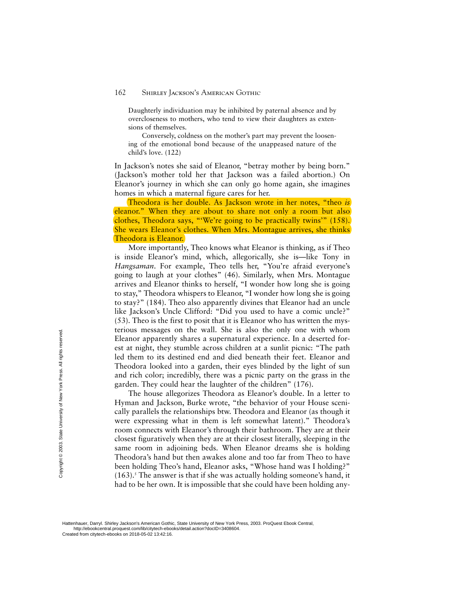Daughterly individuation may be inhibited by paternal absence and by overcloseness to mothers, who tend to view their daughters as extensions of themselves.

Conversely, coldness on the mother's part may prevent the loosening of the emotional bond because of the unappeased nature of the child's love. (122)

In Jackson's notes she said of Eleanor, "betray mother by being born." (Jackson's mother told her that Jackson was a failed abortion.) On Eleanor's journey in which she can only go home again, she imagines homes in which a maternal figure cares for her.

Theodora is her double. As Jackson wrote in her notes, "theo *is* eleanor." When they are about to share not only a room but also clothes, Theodora says, "'We're going to be practically twins'" (158). She wears Eleanor's clothes. When Mrs. Montague arrives, she thinks Theodora is Eleanor.

More importantly, Theo knows what Eleanor is thinking, as if Theo is inside Eleanor's mind, which, allegorically, she is—like Tony in *Hangsaman*. For example, Theo tells her, "You're afraid everyone's going to laugh at your clothes" (46). Similarly, when Mrs. Montague arrives and Eleanor thinks to herself, "I wonder how long she is going to stay," Theodora whispers to Eleanor, "I wonder how long she is going to stay?" (184). Theo also apparently divines that Eleanor had an uncle like Jackson's Uncle Clifford: "Did you used to have a comic uncle?" (53). Theo is the first to posit that it is Eleanor who has written the mysterious messages on the wall. She is also the only one with whom Eleanor apparently shares a supernatural experience. In a deserted forest at night, they stumble across children at a sunlit picnic: "The path led them to its destined end and died beneath their feet. Eleanor and Theodora looked into a garden, their eyes blinded by the light of sun and rich color; incredibly, there was a picnic party on the grass in the garden. They could hear the laughter of the children" (176).

The house allegorizes Theodora as Eleanor's double. In a letter to Hyman and Jackson, Burke wrote, "the behavior of your House scenically parallels the relationships btw. Theodora and Eleanor (as though it were expressing what in them is left somewhat latent)." Theodora's room connects with Eleanor's through their bathroom. They are at their closest figuratively when they are at their closest literally, sleeping in the same room in adjoining beds. When Eleanor dreams she is holding Theodora's hand but then awakes alone and too far from Theo to have been holding Theo's hand, Eleanor asks, "Whose hand was I holding?"  $(163)$ .<sup>5</sup> The answer is that if she was actually holding someone's hand, it had to be her own. It is impossible that she could have been holding any-Experience of the controlls interacted from citytech-ebooks on 2018-05-02 13:42:16.<br>
Created from citytech-ebooks on 2018-05-02 13:42:16.<br>
Created from citytech-ebooks results respectively.<br>
Created from citytech-ebooks re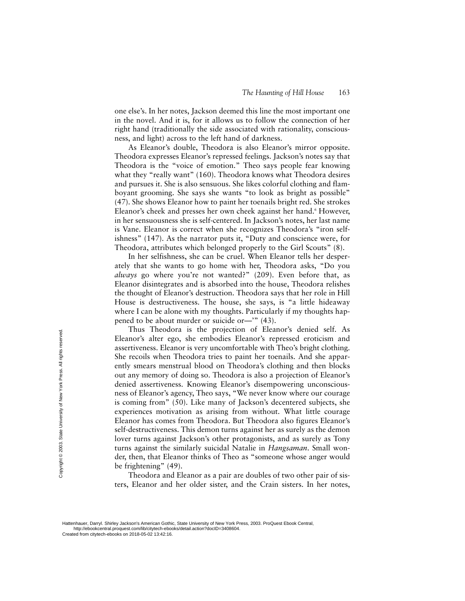one else's. In her notes, Jackson deemed this line the most important one in the novel. And it is, for it allows us to follow the connection of her right hand (traditionally the side associated with rationality, consciousness, and light) across to the left hand of darkness.

As Eleanor's double, Theodora is also Eleanor's mirror opposite. Theodora expresses Eleanor's repressed feelings. Jackson's notes say that Theodora is the "voice of emotion." Theo says people fear knowing what they "really want" (160). Theodora knows what Theodora desires and pursues it. She is also sensuous. She likes colorful clothing and flamboyant grooming. She says she wants "to look as bright as possible" (47). She shows Eleanor how to paint her toenails bright red. She strokes Eleanor's cheek and presses her own cheek against her hand.<sup>6</sup> However, in her sensuousness she is self-centered. In Jackson's notes, her last name is Vane. Eleanor is correct when she recognizes Theodora's "iron selfishness" (147). As the narrator puts it, "Duty and conscience were, for Theodora, attributes which belonged properly to the Girl Scouts" (8).

In her selfishness, she can be cruel. When Eleanor tells her desperately that she wants to go home with her, Theodora asks, "Do you *always* go where you're not wanted?" (209). Even before that, as Eleanor disintegrates and is absorbed into the house, Theodora relishes the thought of Eleanor's destruction. Theodora says that her role in Hill House is destructiveness. The house, she says, is "a little hideaway where I can be alone with my thoughts. Particularly if my thoughts happened to be about murder or suicide or—'" (43).

Thus Theodora is the projection of Eleanor's denied self. As Eleanor's alter ego, she embodies Eleanor's repressed eroticism and assertiveness. Eleanor is very uncomfortable with Theo's bright clothing. She recoils when Theodora tries to paint her toenails. And she apparently smears menstrual blood on Theodora's clothing and then blocks out any memory of doing so. Theodora is also a projection of Eleanor's denied assertiveness. Knowing Eleanor's disempowering unconsciousness of Eleanor's agency, Theo says, "We never know where our courage is coming from" (50). Like many of Jackson's decentered subjects, she experiences motivation as arising from without. What little courage Eleanor has comes from Theodora. But Theodora also figures Eleanor's self-destructiveness. This demon turns against her as surely as the demon lover turns against Jackson's other protagonists, and as surely as Tony turns against the similarly suicidal Natalie in *Hangsaman*. Small wonder, then, that Eleanor thinks of Theo as "someone whose anger would be frightening" (49). Thus Theodo<br>
Eleanor's alter eg<br>
assertiveness. Elea<br>
She recoils when<br>
ently smears men<br>
out any memory of<br>
denied assertivenes<br>
ness of Eleanor's a<br>
is coming from "<br>
experiences motive<br>
Eleanor has come<br>
self-destructiv

Theodora and Eleanor as a pair are doubles of two other pair of sisters, Eleanor and her older sister, and the Crain sisters. In her notes,

Hattenhauer, Darryl. Shirley Jackson's American Gothic, State University of New York Press, 2003. ProQuest Ebook Central, http://ebookcentral.proquest.com/lib/citytech-ebooks/detail.action?docID=3408604.<br>Created from citytech-ebooks on 2018-05-02 13:42:16.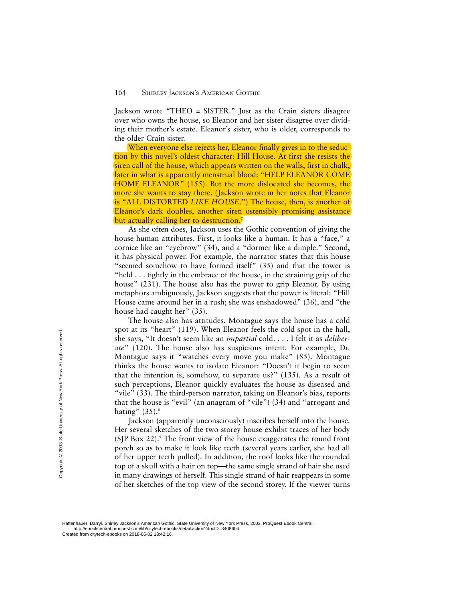### 164 Shirley Jackson's American Gothic

Jackson wrote "THEO = SISTER." Just as the Crain sisters disagree over who owns the house, so Eleanor and her sister disagree over dividing their mother's estate. Eleanor's sister, who is older, corresponds to the older Crain sister.

When everyone else rejects her, Eleanor finally gives in to the seduction by this novel's oldest character: Hill House. At first she resists the siren call of the house, which appears written on the walls, first in chalk, later in what is apparently menstrual blood: "HELP ELEANOR COME HOME ELEANOR" (155). But the more dislocated she becomes, the more she wants to stay there. (Jackson wrote in her notes that Eleanor is "ALL DISTORTED *LIKE HOUSE*.") The house, then, is another of Eleanor's dark doubles, another siren ostensibly promising assistance but actually calling her to destruction.<sup>7</sup>

As she often does, Jackson uses the Gothic convention of giving the house human attributes. First, it looks like a human. It has a "face," a cornice like an "eyebrow" (34), and a "dormer like a dimple." Second, it has physical power. For example, the narrator states that this house "seemed somehow to have formed itself" (35) and that the tower is "held . . . tightly in the embrace of the house, in the straining grip of the house" (231). The house also has the power to grip Eleanor. By using metaphors ambiguously, Jackson suggests that the power is literal: "Hill House came around her in a rush; she was enshadowed" (36), and "the house had caught her" (35).

The house also has attitudes. Montague says the house has a cold spot at its "heart" (119). When Eleanor feels the cold spot in the hall, she says, "It doesn't seem like an *impartial* cold. . . . I felt it as *deliberate*" (120). The house also has suspicious intent. For example, Dr. Montague says it "watches every move you make" (85). Montague thinks the house wants to isolate Eleanor: "Doesn't it begin to seem that the intention is, somehow, to separate us?" (135). As a result of such perceptions, Eleanor quickly evaluates the house as diseased and "vile" (33). The third-person narrator, taking on Eleanor's bias, reports that the house is "evil" (an anagram of "vile") (34) and "arrogant and hating"  $(35)$ .<sup>8</sup> Expect to the same of the same of the same of the same of the same of the same of the same of the same of the same of the same of the same of the same of the same of the same of the same of the same of the same of the same

Jackson (apparently unconsciously) inscribes herself into the house. Her several sketches of the two-storey house exhibit traces of her body (SJP Box 22). $\degree$  The front view of the house exaggerates the round front porch so as to make it look like teeth (several years earlier, she had all of her upper teeth pulled). In addition, the roof looks like the rounded top of a skull with a hair on top—the same single strand of hair she used in many drawings of herself. This single strand of hair reappears in some of her sketches of the top view of the second storey. If the viewer turns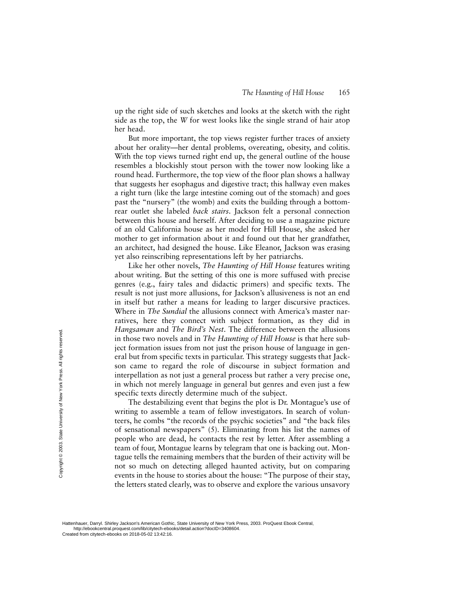up the right side of such sketches and looks at the sketch with the right side as the top, the *W* for west looks like the single strand of hair atop her head.

But more important, the top views register further traces of anxiety about her orality—her dental problems, overeating, obesity, and colitis. With the top views turned right end up, the general outline of the house resembles a blockishly stout person with the tower now looking like a round head. Furthermore, the top view of the floor plan shows a hallway that suggests her esophagus and digestive tract; this hallway even makes a right turn (like the large intestine coming out of the stomach) and goes past the "nursery" (the womb) and exits the building through a bottomrear outlet she labeled *back stairs*. Jackson felt a personal connection between this house and herself. After deciding to use a magazine picture of an old California house as her model for Hill House, she asked her mother to get information about it and found out that her grandfather, an architect, had designed the house. Like Eleanor, Jackson was erasing yet also reinscribing representations left by her patriarchs.

Like her other novels, *The Haunting of Hill House* features writing about writing. But the setting of this one is more suffused with precise genres (e.g., fairy tales and didactic primers) and specific texts. The result is not just more allusions, for Jackson's allusiveness is not an end in itself but rather a means for leading to larger discursive practices. Where in *The Sundial* the allusions connect with America's master narratives, here they connect with subject formation, as they did in *Hangsaman* and *The Bird's Nest*. The difference between the allusions in those two novels and in *The Haunting of Hill House* is that here subject formation issues from not just the prison house of language in general but from specific texts in particular. This strategy suggests that Jackson came to regard the role of discourse in subject formation and interpellation as not just a general process but rather a very precise one, in which not merely language in general but genres and even just a few specific texts directly determine much of the subject.

The destabilizing event that begins the plot is Dr. Montague's use of writing to assemble a team of fellow investigators. In search of volunteers, he combs "the records of the psychic societies" and "the back files of sensational newspapers" (5). Eliminating from his list the names of people who are dead, he contacts the rest by letter. After assembling a team of four, Montague learns by telegram that one is backing out. Montague tells the remaining members that the burden of their activity will be not so much on detecting alleged haunted activity, but on comparing events in the house to stories about the house: "The purpose of their stay, the letters stated clearly, was to observe and explore the various unsavory Tramgsaman and<br>
in those two nove<br>
ject formation isst<br>
eral but from spec<br>
son came to reg:<br>
shows the specific texts direct<br>
The destabiliz<br>
writing to assemb<br>
teers, he combs "t<br>
of sensational new<br>
people who are d<br>
te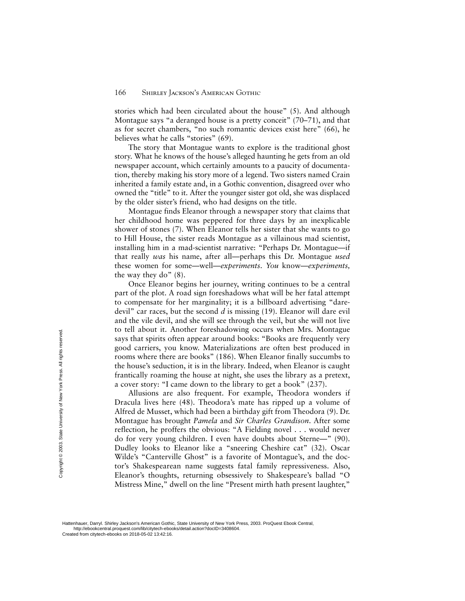### 166 Shirley Jackson's American Gothic

stories which had been circulated about the house" (5). And although Montague says "a deranged house is a pretty conceit" (70–71), and that as for secret chambers, "no such romantic devices exist here" (66), he believes what he calls "stories" (69).

The story that Montague wants to explore is the traditional ghost story. What he knows of the house's alleged haunting he gets from an old newspaper account, which certainly amounts to a paucity of documentation, thereby making his story more of a legend. Two sisters named Crain inherited a family estate and, in a Gothic convention, disagreed over who owned the "title" to it. After the younger sister got old, she was displaced by the older sister's friend, who had designs on the title.

Montague finds Eleanor through a newspaper story that claims that her childhood home was peppered for three days by an inexplicable shower of stones (7). When Eleanor tells her sister that she wants to go to Hill House, the sister reads Montague as a villainous mad scientist, installing him in a mad-scientist narrative: "Perhaps Dr. Montague—if that really *was* his name, after all—perhaps this Dr. Montague *used* these women for some—well—*experiments*. *You* know—*experiments,* the way they do" (8).

Once Eleanor begins her journey, writing continues to be a central part of the plot. A road sign foreshadows what will be her fatal attempt to compensate for her marginality; it is a billboard advertising "daredevil" car races, but the second *d* is missing (19). Eleanor will dare evil and the vile devil, and she will see through the veil, but she will not live to tell about it. Another foreshadowing occurs when Mrs. Montague says that spirits often appear around books: "Books are frequently very good carriers, you know. Materializations are often best produced in rooms where there are books" (186). When Eleanor finally succumbs to the house's seduction, it is in the library. Indeed, when Eleanor is caught frantically roaming the house at night, she uses the library as a pretext, a cover story: "I came down to the library to get a book" (237).

Allusions are also frequent. For example, Theodora wonders if Dracula lives here (48). Theodora's mate has ripped up a volume of Alfred de Musset, which had been a birthday gift from Theodora (9). Dr. Montague has brought *Pamela* and *Sir Charles Grandison*. After some reflection, he proffers the obvious: "A Fielding novel . . . would never do for very young children. I even have doubts about Sterne—" (90). Dudley looks to Eleanor like a "sneering Cheshire cat" (32). Oscar Wilde's "Canterville Ghost" is a favorite of Montague's, and the doctor's Shakespearean name suggests fatal family repressiveness. Also, Eleanor's thoughts, returning obsessively to Shakespeare's ballad "O Mistress Mine," dwell on the line "Present mirth hath present laughter," Created from citytech-ebooks on 2018-05-02 13:42:16. Created from citytech-ebooks on 2018-05-02 13:42:16. Created from citytech-ebooks on 2018-05-02 13:42:16. Created from citytech-ebooks on 2018-05-02 13:42:16. Created fr

Hattenhauer, Darryl. Shirley Jackson's American Gothic, State University of New York Press, 2003. ProQuest Ebook Central, http://ebookcentral.proquest.com/lib/citytech-ebooks/detail.action?docID=3408604.<br>Created from citytech-ebooks on 2018-05-02 13:42:16.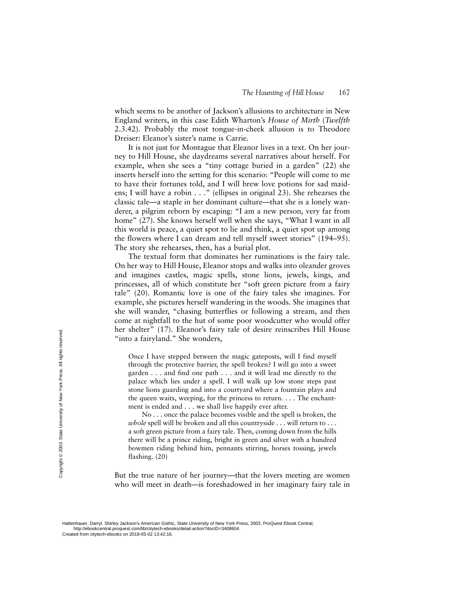which seems to be another of Jackson's allusions to architecture in New England writers, in this case Edith Wharton's *House of Mirth* (*Twelfth* 2.3.42). Probably the most tongue-in-cheek allusion is to Theodore Dreiser: Eleanor's sister's name is Carrie.

It is not just for Montague that Eleanor lives in a text. On her journey to Hill House, she daydreams several narratives about herself. For example, when she sees a "tiny cottage buried in a garden" (22) she inserts herself into the setting for this scenario: "People will come to me to have their fortunes told, and I will brew love potions for sad maidens; I will have a robin . . ." (ellipses in original 23). She rehearses the classic tale—a staple in her dominant culture—that she is a lonely wanderer, a pilgrim reborn by escaping: "I am a new person, very far from home" (27). She knows herself well when she says, "What I want in all this world is peace, a quiet spot to lie and think, a quiet spot up among the flowers where I can dream and tell myself sweet stories" (194–95). The story she rehearses, then, has a burial plot.

The textual form that dominates her ruminations is the fairy tale. On her way to Hill House, Eleanor stops and walks into oleander groves and imagines castles, magic spells, stone lions, jewels, kings, and princesses, all of which constitute her "soft green picture from a fairy tale" (20). Romantic love is one of the fairy tales she imagines. For example, she pictures herself wandering in the woods. She imagines that she will wander, "chasing butterflies or following a stream, and then come at nightfall to the hut of some poor woodcutter who would offer her shelter" (17). Eleanor's fairy tale of desire reinscribes Hill House "into a fairyland." She wonders,

Once I have stepped between the magic gateposts, will I find myself through the protective barrier, the spell broken? I will go into a sweet garden . . . and find one path . . . and it will lead me directly to the palace which lies under a spell. I will walk up low stone steps past stone lions guarding and into a courtyard where a fountain plays and the queen waits, weeping, for the princess to return. . . . The enchantment is ended and . . . we shall live happily ever after. The state of the state of the state of the state of the properties of the properties of the properties of the queen wait:<br>
See the queen wait:<br>
See the queen wait:<br>
The queen wait:<br>
ment is ended a<br>
No . . . one<br>
see the

No . . . once the palace becomes visible and the spell is broken, the *whole* spell will be broken and all this countryside . . . will return to . . . a soft green picture from a fairy tale. Then, coming down from the hills there will be a prince riding, bright in green and silver with a hundred bowmen riding behind him, pennants stirring, horses tossing, jewels flashing. (20)

But the true nature of her journey—that the lovers meeting are women who will meet in death—is foreshadowed in her imaginary fairy tale in

Hattenhauer, Darryl. Shirley Jackson's American Gothic, State University of New York Press, 2003. ProQuest Ebook Central, http://ebookcentral.proquest.com/lib/citytech-ebooks/detail.action?docID=3408604.<br>Created from citytech-ebooks on 2018-05-02 13:42:16.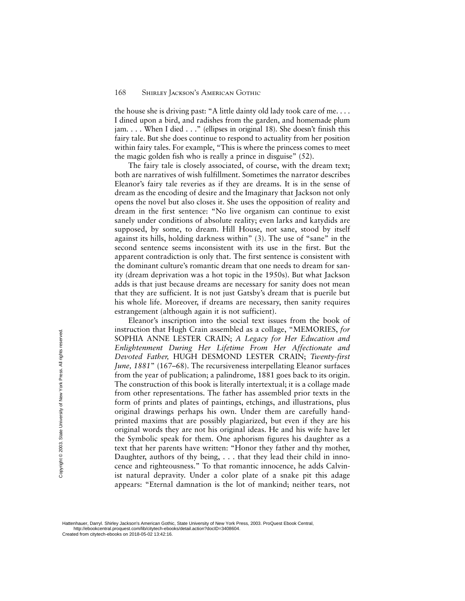### 168 Shirley Jackson's American Gothic

the house she is driving past: "A little dainty old lady took care of me. . . . I dined upon a bird, and radishes from the garden, and homemade plum jam. . . . When I died . . ." (ellipses in original 18). She doesn't finish this fairy tale. But she does continue to respond to actuality from her position within fairy tales. For example, "This is where the princess comes to meet the magic golden fish who is really a prince in disguise" (52).

The fairy tale is closely associated, of course, with the dream text; both are narratives of wish fulfillment. Sometimes the narrator describes Eleanor's fairy tale reveries as if they are dreams. It is in the sense of dream as the encoding of desire and the Imaginary that Jackson not only opens the novel but also closes it. She uses the opposition of reality and dream in the first sentence: "No live organism can continue to exist sanely under conditions of absolute reality; even larks and katydids are supposed, by some, to dream. Hill House, not sane, stood by itself against its hills, holding darkness within" (3). The use of "sane" in the second sentence seems inconsistent with its use in the first. But the apparent contradiction is only that. The first sentence is consistent with the dominant culture's romantic dream that one needs to dream for sanity (dream deprivation was a hot topic in the 1950s). But what Jackson adds is that just because dreams are necessary for sanity does not mean that they are sufficient. It is not just Gatsby's dream that is puerile but his whole life. Moreover, if dreams are necessary, then sanity requires estrangement (although again it is not sufficient).

Eleanor's inscription into the social text issues from the book of instruction that Hugh Crain assembled as a collage, "MEMORIES, *for* SOPHIA ANNE LESTER CRAIN; *A Legacy for Her Education and Enlightenment During Her Lifetime From Her Affectionate and Devoted Father,* HUGH DESMOND LESTER CRAIN; *Twenty-first June, 1881*" (167–68). The recursiveness interpellating Eleanor surfaces from the year of publication; a palindrome, 1881 goes back to its origin. The construction of this book is literally intertextual; it is a collage made from other representations. The father has assembled prior texts in the form of prints and plates of paintings, etchings, and illustrations, plus original drawings perhaps his own. Under them are carefully handprinted maxims that are possibly plagiarized, but even if they are his original words they are not his original ideas. He and his wife have let the Symbolic speak for them. One aphorism figures his daughter as a text that her parents have written: "Honor they father and thy mother, Daughter, authors of thy being, . . . that they lead their child in innocence and righteousness." To that romantic innocence, he adds Calvinist natural depravity. Under a color plate of a snake pit this adage appears: "Eternal damnation is the lot of mankind; neither tears, not Experiment Enlightenment L<br>
SOPHIA ANNE<br>
Enlightenment L<br>
Devoted Father,<br>
June, 1881" (167-<br>
from the year of p<br>
The construction<br>
from other repres<br>
form of prints an<br>
original drawings<br>
printed maxims t<br>
original words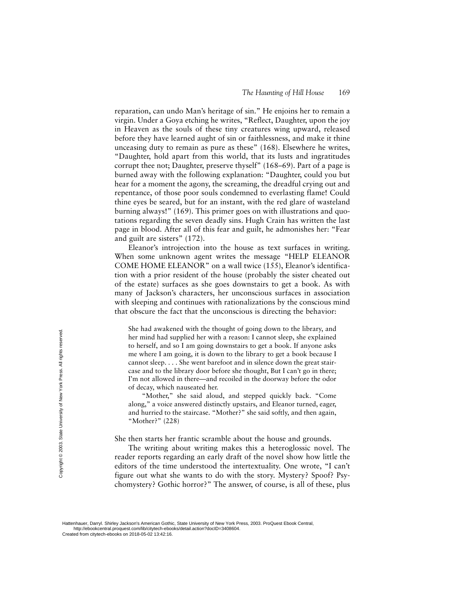reparation, can undo Man's heritage of sin." He enjoins her to remain a virgin. Under a Goya etching he writes, "Reflect, Daughter, upon the joy in Heaven as the souls of these tiny creatures wing upward, released before they have learned aught of sin or faithlessness, and make it thine unceasing duty to remain as pure as these" (168). Elsewhere he writes, "Daughter, hold apart from this world, that its lusts and ingratitudes corrupt thee not; Daughter, preserve thyself" (168–69). Part of a page is burned away with the following explanation: "Daughter, could you but hear for a moment the agony, the screaming, the dreadful crying out and repentance, of those poor souls condemned to everlasting flame! Could thine eyes be seared, but for an instant, with the red glare of wasteland burning always!" (169). This primer goes on with illustrations and quotations regarding the seven deadly sins. Hugh Crain has written the last page in blood. After all of this fear and guilt, he admonishes her: "Fear and guilt are sisters" (172).

Eleanor's introjection into the house as text surfaces in writing. When some unknown agent writes the message "HELP ELEANOR COME HOME ELEANOR" on a wall twice (155), Eleanor's identification with a prior resident of the house (probably the sister cheated out of the estate) surfaces as she goes downstairs to get a book. As with many of Jackson's characters, her unconscious surfaces in association with sleeping and continues with rationalizations by the conscious mind that obscure the fact that the unconscious is directing the behavior:

She had awakened with the thought of going down to the library, and her mind had supplied her with a reason: I cannot sleep, she explained to herself, and so I am going downstairs to get a book. If anyone asks me where I am going, it is down to the library to get a book because I cannot sleep. . . . She went barefoot and in silence down the great staircase and to the library door before she thought, But I can't go in there; I'm not allowed in there—and recoiled in the doorway before the odor of decay, which nauseated her. Experimentation control control control control control control control control control control control control control control control control control control control control control control control control control contro

"Mother," she said aloud, and stepped quickly back. "Come along," a voice answered distinctly upstairs, and Eleanor turned, eager, and hurried to the staircase. "Mother?" she said softly, and then again, "Mother?" (228)

She then starts her frantic scramble about the house and grounds.

The writing about writing makes this a heteroglossic novel. The reader reports regarding an early draft of the novel show how little the editors of the time understood the intertextuality. One wrote, "I can't figure out what she wants to do with the story. Mystery? Spoof? Psychomystery? Gothic horror?" The answer, of course, is all of these, plus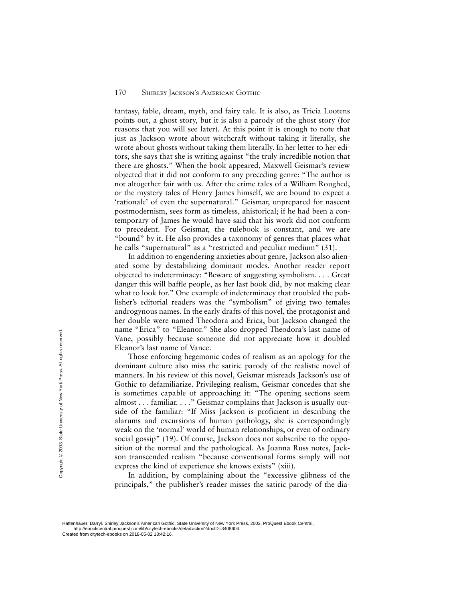fantasy, fable, dream, myth, and fairy tale. It is also, as Tricia Lootens points out, a ghost story, but it is also a parody of the ghost story (for reasons that you will see later). At this point it is enough to note that just as Jackson wrote about witchcraft without taking it literally, she wrote about ghosts without taking them literally. In her letter to her editors, she says that she is writing against "the truly incredible notion that there are ghosts." When the book appeared, Maxwell Geismar's review objected that it did not conform to any preceding genre: "The author is not altogether fair with us. After the crime tales of a William Roughed, or the mystery tales of Henry James himself, we are bound to expect a 'rationale' of even the supernatural." Geismar, unprepared for nascent postmodernism, sees form as timeless, ahistorical; if he had been a contemporary of James he would have said that his work did not conform to precedent. For Geismar, the rulebook is constant, and we are "bound" by it. He also provides a taxonomy of genres that places what he calls "supernatural" as a "restricted and peculiar medium" (31).

In addition to engendering anxieties about genre, Jackson also alienated some by destabilizing dominant modes. Another reader report objected to indeterminacy: "Beware of suggesting symbolism. . . . Great danger this will baffle people, as her last book did, by not making clear what to look for." One example of indeterminacy that troubled the publisher's editorial readers was the "symbolism" of giving two females androgynous names. In the early drafts of this novel, the protagonist and her double were named Theodora and Erica, but Jackson changed the name "Erica" to "Eleanor." She also dropped Theodora's last name of Vane, possibly because someone did not appreciate how it doubled Eleanor's last name of Vance.

Those enforcing hegemonic codes of realism as an apology for the dominant culture also miss the satiric parody of the realistic novel of manners. In his review of this novel, Geismar misreads Jackson's use of Gothic to defamiliarize. Privileging realism, Geismar concedes that she is sometimes capable of approaching it: "The opening sections seem almost . . . familiar. . . ." Geismar complains that Jackson is usually outside of the familiar: "If Miss Jackson is proficient in describing the alarums and excursions of human pathology, she is correspondingly weak on the 'normal' world of human relationships, or even of ordinary social gossip" (19). Of course, Jackson does not subscribe to the opposition of the normal and the pathological. As Joanna Russ notes, Jackson transcended realism "because conventional forms simply will not express the kind of experience she knows exists" (xiii). Exerces From Created from citytech-ebooks on 2018-05-02 13:42:16.<br>
Created from citytech-ebooks on 2018-05-02 13:42:16.<br>
Created from citytech-ebooks on 2018-05-02 13:42:16.<br>
Created from citytech-ebooks on 2018-05-02 13:4

In addition, by complaining about the "excessive glibness of the principals," the publisher's reader misses the satiric parody of the dia-

Hattenhauer, Darryl. Shirley Jackson's American Gothic, State University of New York Press, 2003. ProQuest Ebook Central, http://ebookcentral.proquest.com/lib/citytech-ebooks/detail.action?docID=3408604.<br>Created from citytech-ebooks on 2018-05-02 13:42:16.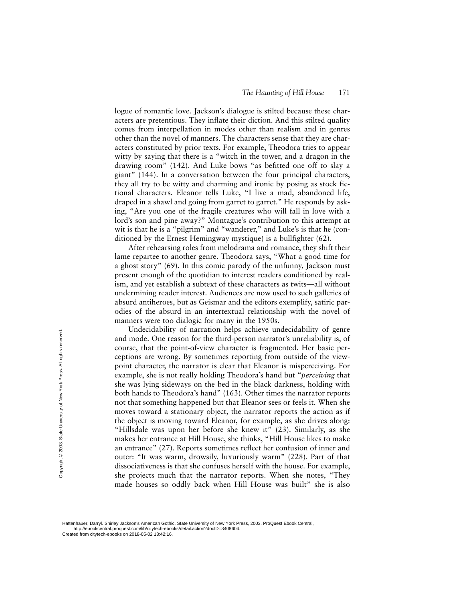logue of romantic love. Jackson's dialogue is stilted because these characters are pretentious. They inflate their diction. And this stilted quality comes from interpellation in modes other than realism and in genres other than the novel of manners. The characters sense that they are characters constituted by prior texts. For example, Theodora tries to appear witty by saying that there is a "witch in the tower, and a dragon in the drawing room" (142). And Luke bows "as befitted one off to slay a giant" (144). In a conversation between the four principal characters, they all try to be witty and charming and ironic by posing as stock fictional characters. Eleanor tells Luke, "I live a mad, abandoned life, draped in a shawl and going from garret to garret." He responds by asking, "Are you one of the fragile creatures who will fall in love with a lord's son and pine away?" Montague's contribution to this attempt at wit is that he is a "pilgrim" and "wanderer," and Luke's is that he (conditioned by the Ernest Hemingway mystique) is a bullfighter (62).

After rehearsing roles from melodrama and romance, they shift their lame repartee to another genre. Theodora says, "What a good time for a ghost story" (69). In this comic parody of the unfunny, Jackson must present enough of the quotidian to interest readers conditioned by realism, and yet establish a subtext of these characters as twits—all without undermining reader interest. Audiences are now used to such galleries of absurd antiheroes, but as Geismar and the editors exemplify, satiric parodies of the absurd in an intertextual relationship with the novel of manners were too dialogic for many in the 1950s.

Undecidability of narration helps achieve undecidability of genre and mode. One reason for the third-person narrator's unreliability is, of course, that the point-of-view character is fragmented. Her basic perceptions are wrong. By sometimes reporting from outside of the viewpoint character, the narrator is clear that Eleanor is misperceiving. For example, she is not really holding Theodora's hand but "*perceiving* that she was lying sideways on the bed in the black darkness, holding with both hands to Theodora's hand" (163). Other times the narrator reports not that something happened but that Eleanor sees or feels it. When she moves toward a stationary object, the narrator reports the action as if the object is moving toward Eleanor, for example, as she drives along: "Hillsdale was upon her before she knew it" (23). Similarly, as she makes her entrance at Hill House, she thinks, "Hill House likes to make an entrance" (27). Reports sometimes reflect her confusion of inner and outer: "It was warm, drowsily, luxuriously warm" (228). Part of that dissociativeness is that she confuses herself with the house. For example, she projects much that the narrator reports. When she notes, "They made houses so oddly back when Hill House was built" she is also Created from citytech-ebooks on 2018-05-02 13:42:16. Created from citytech-ebooks on 2018-05-02 13:42:16. Created from citytech-ebooks on 2018-05-02 13:42:16. Created from citytech-ebooks on 2018-05-02 13:42:16.

Hattenhauer, Darryl. Shirley Jackson's American Gothic, State University of New York Press, 2003. ProQuest Ebook Central, http://ebookcentral.proquest.com/lib/citytech-ebooks/detail.action?docID=3408604.<br>Created from citytech-ebooks on 2018-05-02 13:42:16.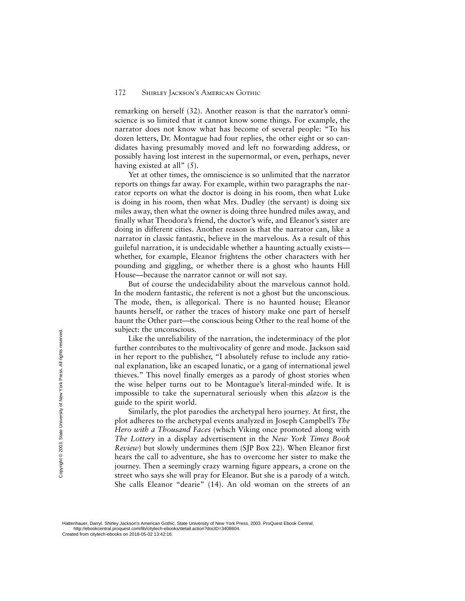remarking on herself (32). Another reason is that the narrator's omniscience is so limited that it cannot know some things. For example, the narrator does not know what has become of several people: "To his dozen letters, Dr. Montague had four replies, the other eight or so candidates having presumably moved and left no forwarding address, or possibly having lost interest in the supernormal, or even, perhaps, never having existed at all" (5).

Yet at other times, the omniscience is so unlimited that the narrator reports on things far away. For example, within two paragraphs the narrator reports on what the doctor is doing in his room, then what Luke is doing in his room, then what Mrs. Dudley (the servant) is doing six miles away, then what the owner is doing three hundred miles away, and finally what Theodora's friend, the doctor's wife, and Eleanor's sister are doing in different cities. Another reason is that the narrator can, like a narrator in classic fantastic, believe in the marvelous. As a result of this guileful narration, it is undecidable whether a haunting actually exists whether, for example, Eleanor frightens the other characters with her pounding and giggling, or whether there is a ghost who haunts Hill House—because the narrator cannot or will not say.

But of course the undecidability about the marvelous cannot hold. In the modern fantastic, the referent is not a ghost but the unconscious. The mode, then, is allegorical. There is no haunted house; Eleanor haunts herself, or rather the traces of history make one part of herself haunt the Other part—the conscious being Other to the real home of the subject: the unconscious.

Like the unreliability of the narration, the indeterminacy of the plot further contributes to the multivocality of genre and mode. Jackson said in her report to the publisher, "I absolutely refuse to include any rational explanation, like an escaped lunatic, or a gang of international jewel thieves." This novel finally emerges as a parody of ghost stories when the wise helper turns out to be Montague's literal-minded wife. It is impossible to take the supernatural seriously when this *alazon* is the guide to the spirit world.

Similarly, the plot parodies the archetypal hero journey. At first, the plot adheres to the archetypal events analyzed in Joseph Campbell's *The Hero with a Thousand Faces* (which Viking once promoted along with *The Lottery* in a display advertisement in the *New York Times Book Review*) but slowly undermines them (SJP Box 22). When Eleanor first hears the call to adventure, she has to overcome her sister to make the journey. Then a seemingly crazy warning figure appears, a crone on the street who says she will pray for Eleanor. But she is a parody of a witch. She calls Eleanor "dearie" (14). An old woman on the streets of an Expect: the throntribute<br>
Expected-ebooks on 2018-05-02 13:42:16.<br>
State of the state of the street impossible to tak<br>
guide to the spirit<br>
guide to the spirit<br>
similarly, the<br>
plot adheres to the<br>
Hero with a Thon<br>
Hero w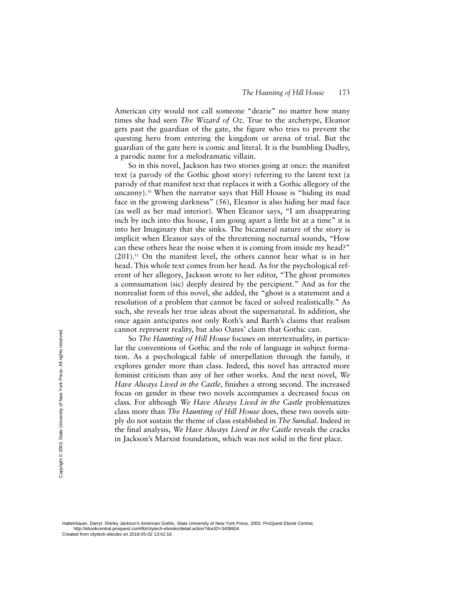American city would not call someone "dearie" no matter how many times she had seen *The Wizard of Oz*. True to the archetype, Eleanor gets past the guardian of the gate, the figure who tries to prevent the questing hero from entering the kingdom or arena of trial. But the guardian of the gate here is comic and literal. It is the bumbling Dudley, a parodic name for a melodramatic villain.

So in this novel, Jackson has two stories going at once: the manifest text (a parody of the Gothic ghost story) referring to the latent text (a parody of that manifest text that replaces it with a Gothic allegory of the uncanny).10 When the narrator says that Hill House is "hiding its mad face in the growing darkness" (56), Eleanor is also hiding her mad face (as well as her mad interior). When Eleanor says, "I am disappearing inch by inch into this house, I am going apart a little bit at a time" it is into her Imaginary that she sinks. The bicameral nature of the story is implicit when Eleanor says of the threatening nocturnal sounds, "How can these others hear the noise when it is coming from inside my head?"  $(201).$ <sup>11</sup> On the manifest level, the others cannot hear what is in her head. This whole text comes from her head. As for the psychological referent of her allegory, Jackson wrote to her editor, "The ghost promotes a connsumation (sic) deeply desired by the percipient." And as for the nonrealist form of this novel, she added, the "ghost is a statement and a resolution of a problem that cannot be faced or solved realistically." As such, she reveals her true ideas about the supernatural. In addition, she once again anticipates not only Roth's and Barth's claims that realism cannot represent reality, but also Oates' claim that Gothic can.

So *The Haunting of Hill House* focuses on intertextuality, in particular the conventions of Gothic and the role of language in subject formation. As a psychological fable of interpellation through the family, it explores gender more than class. Indeed, this novel has attracted more feminist criticism than any of her other works. And the next novel, *We Have Always Lived in the Castle,* finishes a strong second. The increased focus on gender in these two novels accompanies a decreased focus on class. For although *We Have Always Lived in the Castle* problematizes class more than *The Haunting of Hill House* does, these two novels simply do not sustain the theme of class established in *The Sundial*. Indeed in the final analysis, *We Have Always Lived in the Castle* reveals the cracks in Jackson's Marxist foundation, which was not solid in the first place. Created from citytech-ebooks on 2018-05-02 13:42:16. Created from citytech-ebooks on 2018-05-02 13:42:16. Created from citytech-ebooks on 2018-05-02 13:42:16. Created from citytech-ebooks on 2018-05-02 13:42:16.